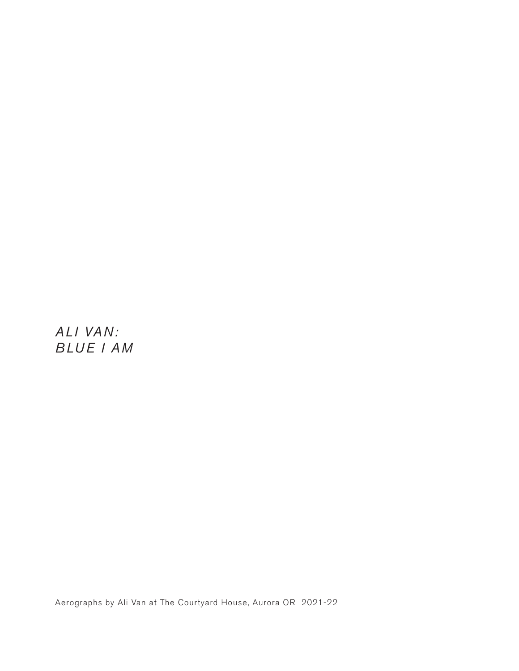*ALI VAN: BLUE I AM*

Aerographs by Ali Van at The Courtyard House, Aurora OR 2021-22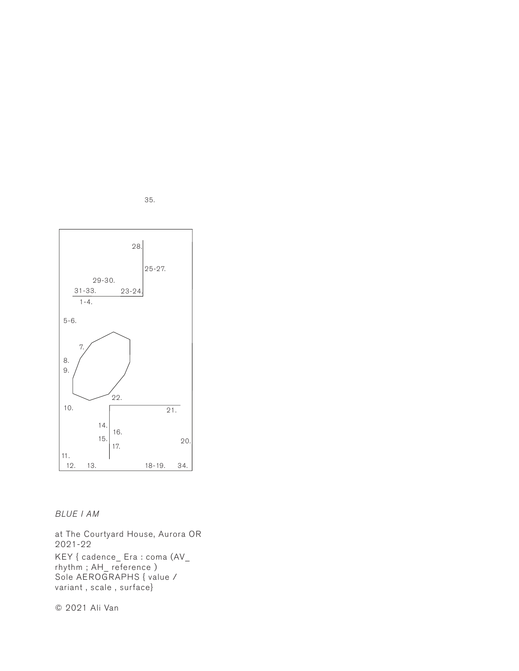

35.

*BLUE I AM*

at The Courtyard House, Aurora OR 2021-22 KEY { cadence\_ Era : coma (AV\_ rhythm ; AH\_ reference ) Sole AEROGRAPHS { value / variant , scale , surface}

© 2021 Ali Van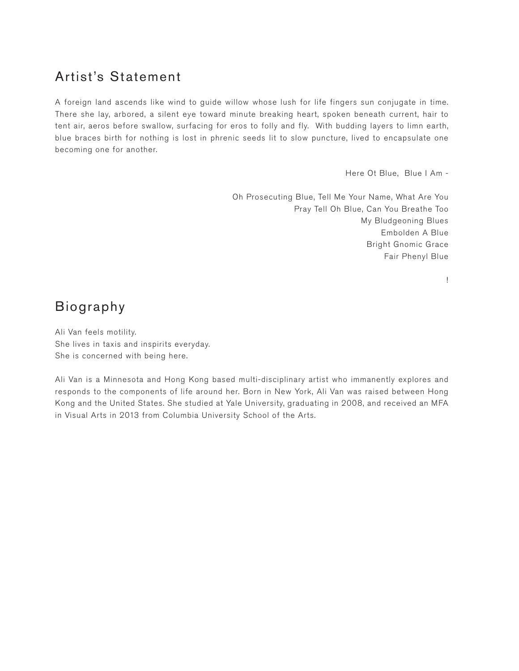## Artist's Statement

A foreign land ascends like wind to guide willow whose lush for life fingers sun conjugate in time. There she lay, arbored, a silent eye toward minute breaking heart, spoken beneath current, hair to tent air, aeros before swallow, surfacing for eros to folly and fly. With budding layers to limn earth, blue braces birth for nothing is lost in phrenic seeds lit to slow puncture, lived to encapsulate one becoming one for another.

Here Ot Blue, Blue I Am -

Oh Prosecuting Blue, Tell Me Your Name, What Are You Pray Tell Oh Blue, Can You Breathe Too My Bludgeoning Blues Embolden A Blue Bright Gnomic Grace Fair Phenyl Blue

!

# Biography

Ali Van feels motility. She lives in taxis and inspirits everyday. She is concerned with being here.

Ali Van is a Minnesota and Hong Kong based multi-disciplinary artist who immanently explores and responds to the components of life around her. Born in New York, Ali Van was raised between Hong Kong and the United States. She studied at Yale University, graduating in 2008, and received an MFA in Visual Arts in 2013 from Columbia University School of the Arts.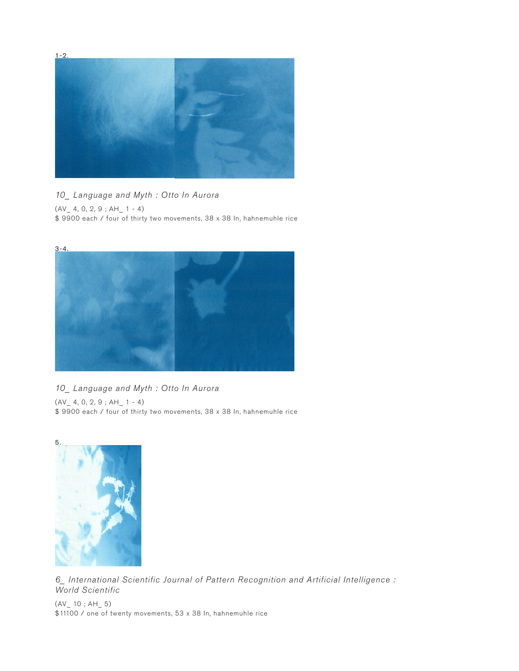

#### *10\_ Language and Myth : Otto In Aurora*

(AV\_ 4, 0, 2, 9 ; AH\_ 1 - 4)

\$ 9900 each / four of thirty two movements, 38 x 38 In, hahnemuhle rice



#### *10\_ Language and Myth : Otto In Aurora*

 $(AV_ 4, 0, 2, 9; AH_ 1 - 4)$ \$9900 each / four of thirty two movements, 38 x 38 In, hahnemuhle rice



*6\_ International Scientific Journal of Pattern Recognition and Artificial Intelligence : World Scientific*

 $(AV_ 10 ; AH_ 5)$ \$11100 / one of twenty movements, 53 x 38 In, hahnemuhle rice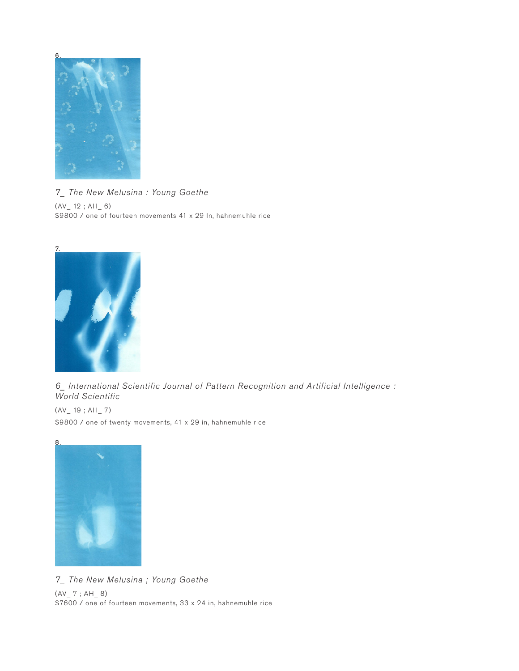

*7\_ The New Melusina : Young Goethe*  $(AV_ 12 ; AH_ 6)$ \$9800 / one of fourteen movements 41 x 29 In, hahnemuhle rice



*6\_ International Scientific Journal of Pattern Recognition and Artificial Intelligence : World Scientific*

 $(AV_ 19 ; AH_ 7)$ \$9800 / one of twenty movements, 41 x 29 in, hahnemuhle rice



*7\_ The New Melusina ; Young Goethe*  $(AV_ 7 ; AH_ 8)$ \$7600 / one of fourteen movements, 33 x 24 in, hahnemuhle rice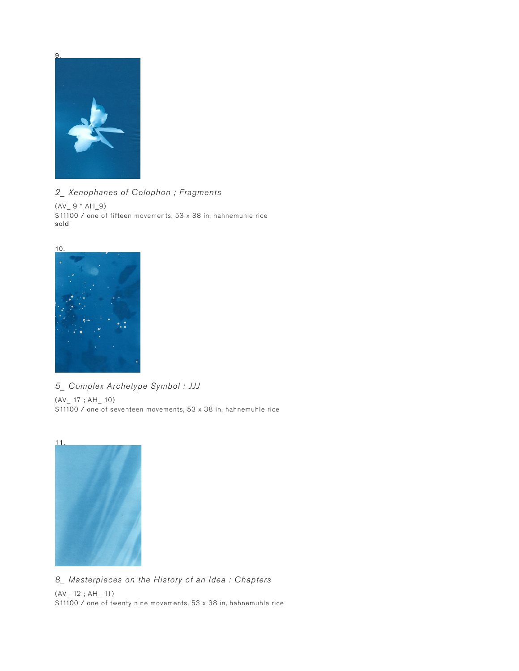

*2\_ Xenophanes of Colophon ; Fragments* 

 $(AV_ 9 * AH_9)$ \$11100 / one of fifteen movements, 53 x 38 in, hahnemuhle rice sold



*5\_ Complex Archetype Symbol : JJJ* 

 $(AV_ 17 ; AH_ 10)$ \$11100 / one of seventeen movements, 53 x 38 in, hahnemuhle rice



*8\_ Masterpieces on the History of an Idea : Chapters* 

(AV\_ 12 ; AH\_ 11) \$11100 / one of twenty nine movements, 53 x 38 in, hahnemuhle rice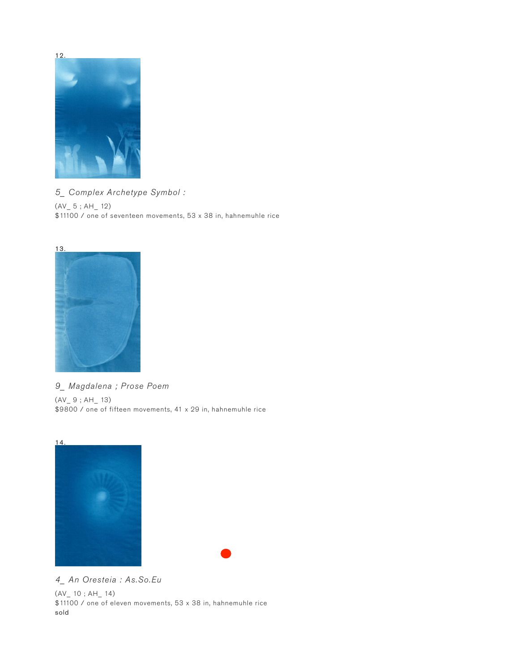

*5\_ Complex Archetype Symbol :*   $(AV_5; AH_12)$ \$11100 / one of seventeen movements, 53 x 38 in, hahnemuhle rice



*9\_ Magdalena ; Prose Poem* 

 $(AV_ 9 ; AH_ 13)$ \$9800 / one of fifteen movements, 41 x 29 in, hahnemuhle rice





*4\_ An Oresteia : As.So.Eu*  (AV\_ 10 ; AH\_ 14) \$11100 / one of eleven movements, 53 x 38 in, hahnemuhle rice sold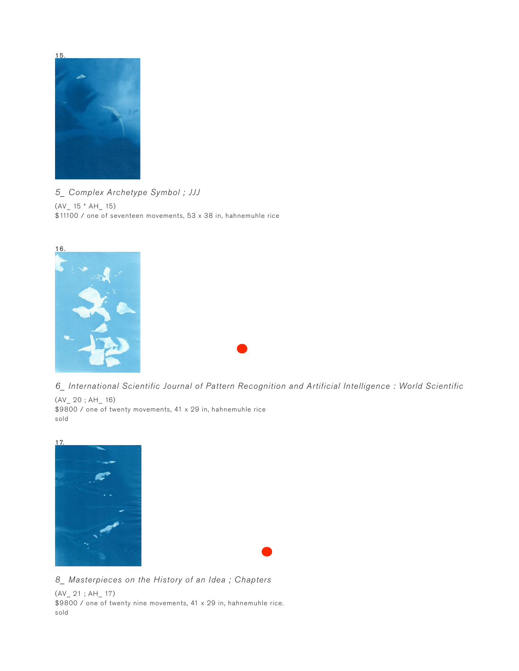

*5\_ Complex Archetype Symbol ; JJJ*   $(AV_ 15 * AH_ 15)$ \$11100 / one of seventeen movements, 53 x 38 in, hahnemuhle rice



*6\_ International Scientific Journal of Pattern Recognition and Artificial Intelligence : World Scientific* 

(AV\_ 20 ; AH\_ 16) \$9800 / one of twenty movements, 41 x 29 in, hahnemuhle rice sold



*8\_ Masterpieces on the History of an Idea ; Chapters* 

(AV\_ 21 ; AH\_ 17) \$9800 / one of twenty nine movements, 41 x 29 in, hahnemuhle rice. sold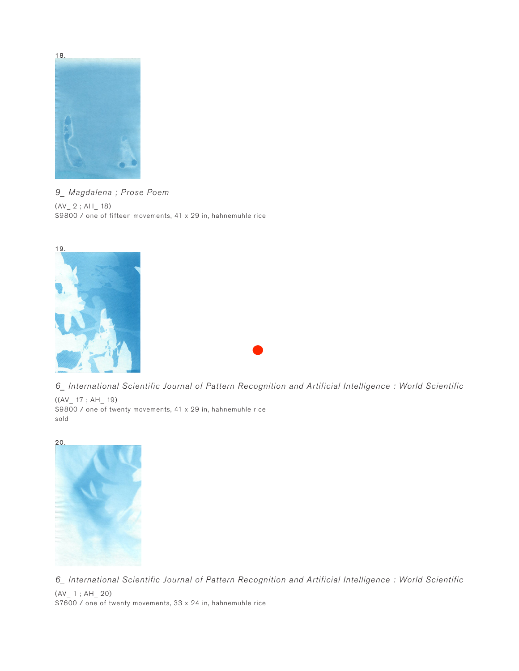

*9\_ Magdalena ; Prose Poem*   $(AV_ 2 ; AH_ 18)$ \$9800 / one of fifteen movements, 41 x 29 in, hahnemuhle rice



*6\_ International Scientific Journal of Pattern Recognition and Artificial Intelligence : World Scientific* 

 $((AV_ 17 ; AH_ 19)$ \$9800 / one of twenty movements, 41 x 29 in, hahnemuhle rice sold



*6\_ International Scientific Journal of Pattern Recognition and Artificial Intelligence : World Scientific*  (AV\_ 1 ; AH\_ 20) \$7600 / one of twenty movements, 33 x 24 in, hahnemuhle rice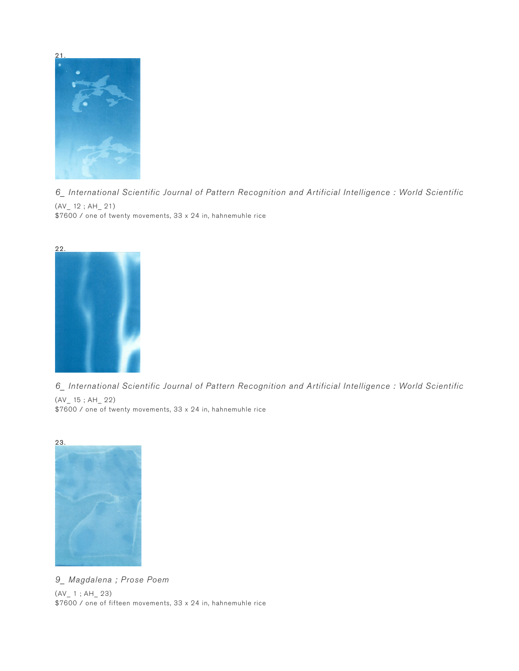*6\_ International Scientific Journal of Pattern Recognition and Artificial Intelligence : World Scientific*   $(AV \ 12 ; AH \ 21)$ \$7600 / one of twenty movements, 33 x 24 in, hahnemuhle rice



*6\_ International Scientific Journal of Pattern Recognition and Artificial Intelligence : World Scientific* 

(AV\_ 15 ; AH\_ 22) \$7600 / one of twenty movements, 33 x 24 in, hahnemuhle rice



*9\_ Magdalena ; Prose Poem*  (AV\_ 1 ; AH\_ 23) \$7600 / one of fifteen movements, 33 x 24 in, hahnemuhle rice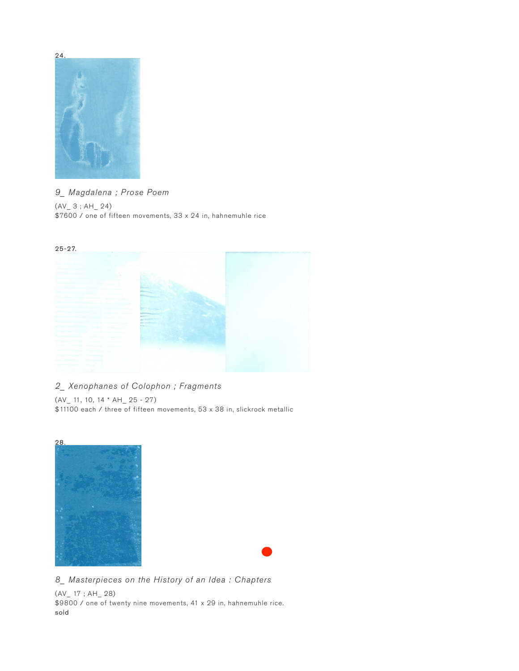

### *9\_ Magdalena ; Prose Poem*

 $(AV_ 3 ; AH_ 24)$ \$7600 / one of fifteen movements, 33 x 24 in, hahnemuhle rice



#### *2\_ Xenophanes of Colophon ; Fragments*

(AV\_ 11, 10, 14 \* AH\_ 25 - 27) \$11100 each / three of fifteen movements, 53 x 38 in, slickrock metallic



*8\_ Masterpieces on the History of an Idea : Chapters* 

(AV\_ 17 ; AH\_ 28) \$9800 / one of twenty nine movements, 41 x 29 in, hahnemuhle rice. sold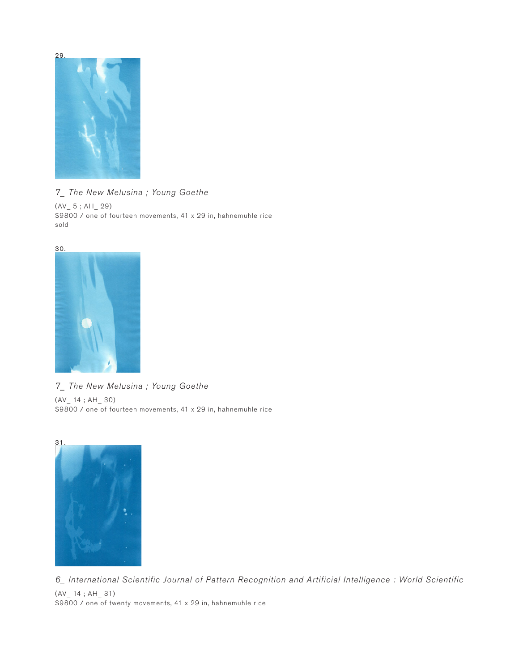

*7\_ The New Melusina ; Young Goethe*   $(AV_ 5 ; AH_ 29)$ \$9800 / one of fourteen movements, 41 x 29 in, hahnemuhle rice sold



*7\_ The New Melusina ; Young Goethe* 

(AV\_ 14 ; AH\_ 30) \$9800 / one of fourteen movements, 41 x 29 in, hahnemuhle rice



*6\_ International Scientific Journal of Pattern Recognition and Artificial Intelligence : World Scientific*  (AV\_ 14 ; AH\_ 31) \$9800 / one of twenty movements, 41 x 29 in, hahnemuhle rice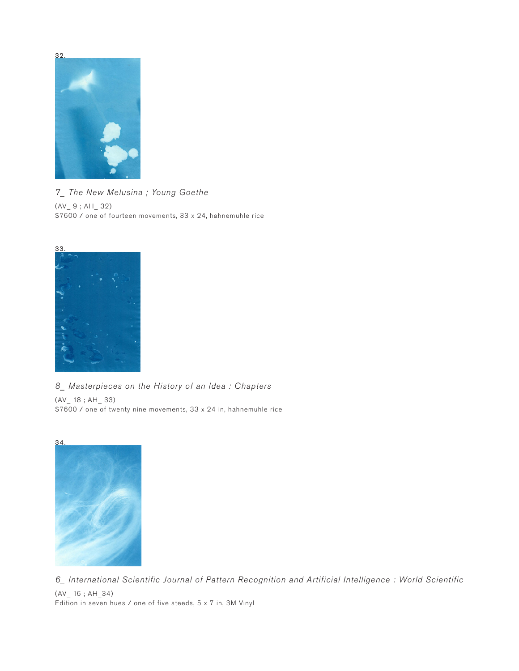

*7\_ The New Melusina ; Young Goethe*  (AV\_ 9 ; AH\_ 32) \$7600 / one of fourteen movements, 33 x 24, hahnemuhle rice



*8\_ Masterpieces on the History of an Idea : Chapters* 

(AV\_ 18 ; AH\_ 33) \$7600 / one of twenty nine movements, 33 x 24 in, hahnemuhle rice



*6\_ International Scientific Journal of Pattern Recognition and Artificial Intelligence : World Scientific*  (AV\_ 16 ; AH\_34) Edition in seven hues / one of five steeds, 5 x 7 in, 3M Vinyl